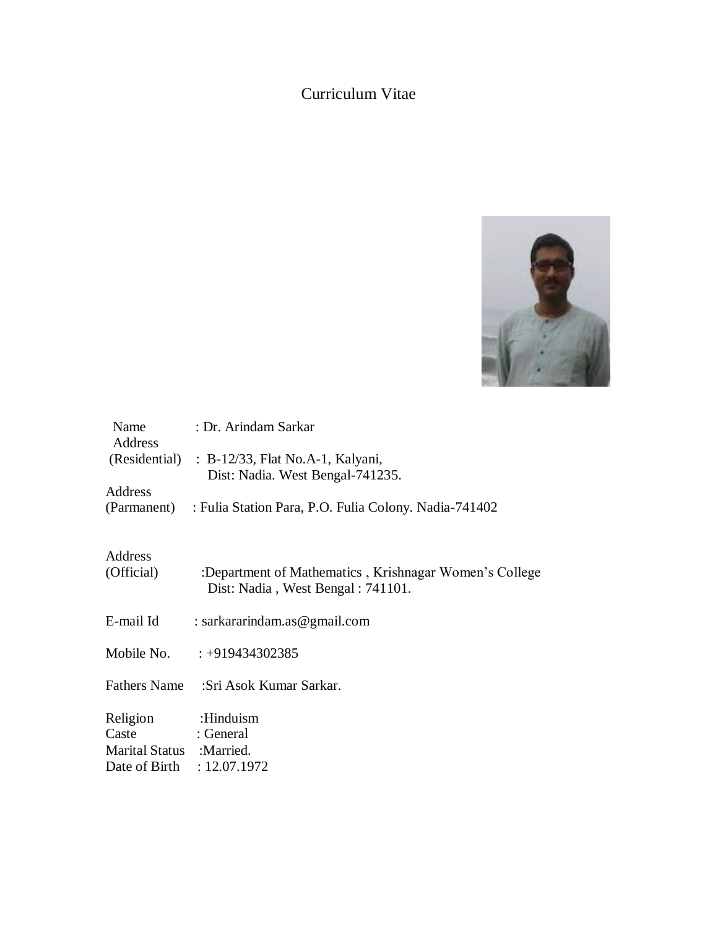# Curriculum Vitae



| Name<br>Address            | : Dr. Arindam Sarkar                                                               |
|----------------------------|------------------------------------------------------------------------------------|
|                            | (Residential) : B-12/33, Flat No.A-1, Kalyani,<br>Dist: Nadia. West Bengal-741235. |
| Address                    |                                                                                    |
|                            | (Parmanent) : Fulia Station Para, P.O. Fulia Colony. Nadia-741402                  |
| Address<br>(Official)      | :Department of Mathematics, Krishnagar Women's College                             |
|                            | Dist: Nadia, West Bengal: 741101.                                                  |
| E-mail Id                  | : sarkararindam.as@gmail.com                                                       |
|                            | Mobile No. $\therefore +919434302385$                                              |
|                            | Fathers Name :Sri Asok Kumar Sarkar.                                               |
| Religion                   | :Hinduism                                                                          |
| Caste                      | : General                                                                          |
| Marital Status : Married.  |                                                                                    |
| Date of Birth : 12.07.1972 |                                                                                    |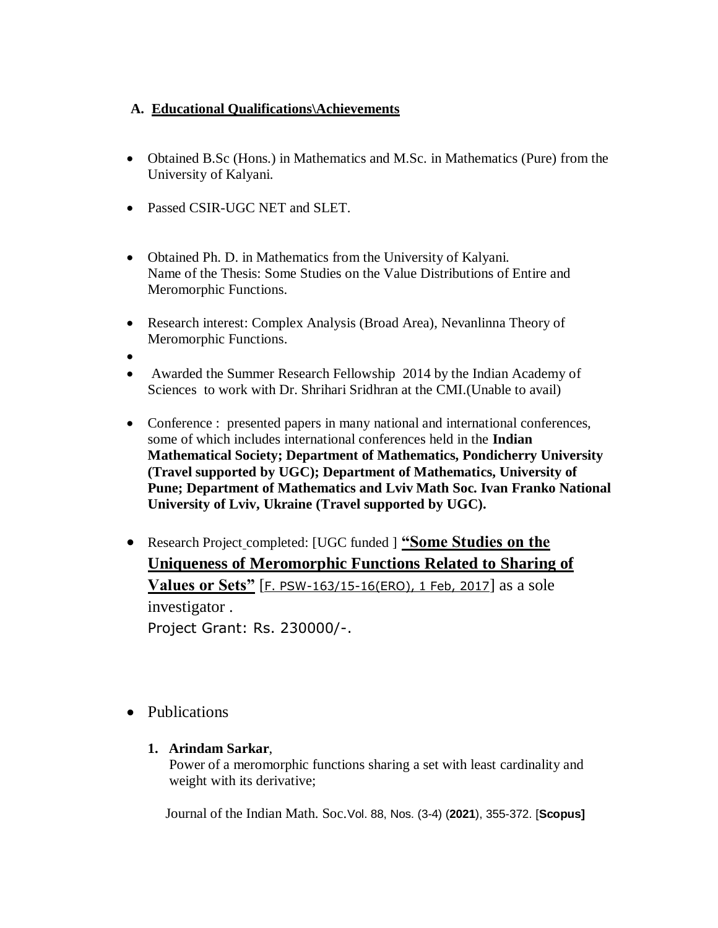# **A. Educational Qualifications\Achievements**

- Obtained B.Sc (Hons.) in Mathematics and M.Sc. in Mathematics (Pure) from the University of Kalyani.
- Passed CSIR-UGC NET and SLET.
- Obtained Ph. D. in Mathematics from the University of Kalyani. Name of the Thesis: Some Studies on the Value Distributions of Entire and Meromorphic Functions.
- Research interest: Complex Analysis (Broad Area), Nevanlinna Theory of Meromorphic Functions.
- $\bullet$
- Awarded the Summer Research Fellowship 2014 by the Indian Academy of Sciences to work with Dr. Shrihari Sridhran at the CMI.(Unable to avail)
- Conference : presented papers in many national and international conferences, some of which includes international conferences held in the **Indian Mathematical Society; Department of Mathematics, Pondicherry University (Travel supported by UGC); Department of Mathematics, University of Pune; Department of Mathematics and Lviv Math Soc. Ivan Franko National University of Lviv, Ukraine (Travel supported by UGC).**
- Research Project completed: [UGC funded ] **"Some Studies on the Uniqueness of Meromorphic Functions Related to Sharing of Values or Sets"** [F. PSW-163/15-16(ERO), 1 Feb, 2017] as a sole investigator . Project Grant: Rs. 230000/-.
- Publications
	- **1. Arindam Sarkar**,

 Power of a meromorphic functions sharing a set with least cardinality and weight with its derivative;

Journal of the Indian Math. Soc.Vol. 88, Nos. (3-4) (**2021**), 355-372. [**Scopus]**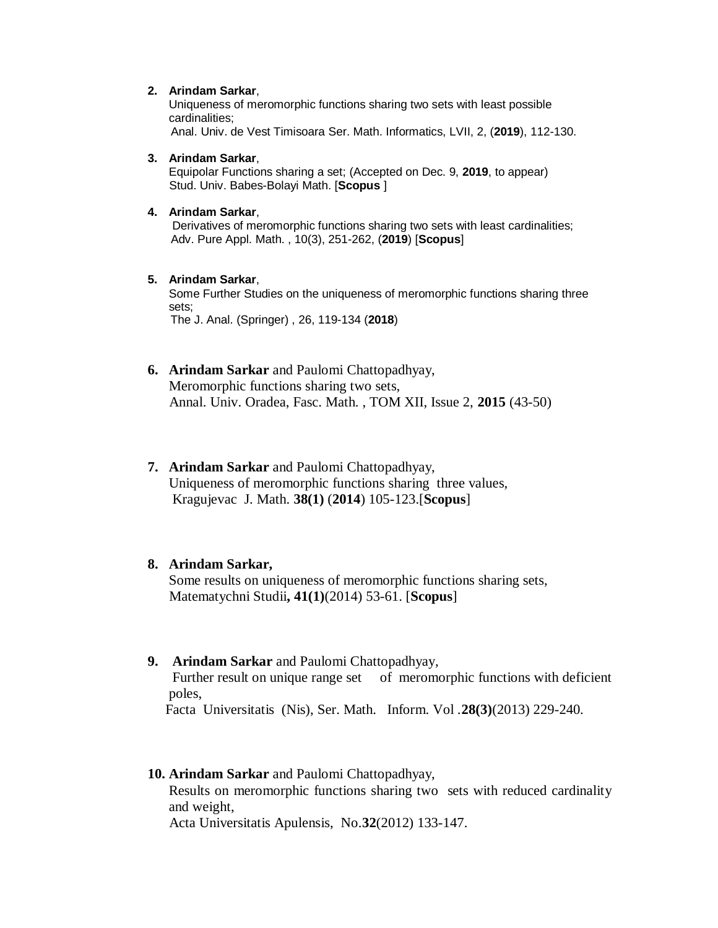#### **2. Arindam Sarkar**,

Uniqueness of meromorphic functions sharing two sets with least possible cardinalities;

Anal. Univ. de Vest Timisoara Ser. Math. Informatics, LVII, 2, (**2019**), 112-130.

#### **3. Arindam Sarkar**,

Equipolar Functions sharing a set; (Accepted on Dec. 9, **2019**, to appear) Stud. Univ. Babes-Bolayi Math. [**Scopus** ]

#### **4. Arindam Sarkar**,

Derivatives of meromorphic functions sharing two sets with least cardinalities; Adv. Pure Appl. Math. , 10(3), 251-262, (**2019**) [**Scopus**]

#### **5. Arindam Sarkar**,

Some Further Studies on the uniqueness of meromorphic functions sharing three sets; The J. Anal. (Springer) , 26, 119-134 (**2018**)

## **6. Arindam Sarkar** and Paulomi Chattopadhyay, Meromorphic functions sharing two sets, Annal. Univ. Oradea, Fasc. Math. , TOM XII, Issue 2, **2015** (43-50)

**7. Arindam Sarkar** and Paulomi Chattopadhyay, Uniqueness of meromorphic functions sharing three values, Kragujevac J. Math. **38(1)** (**2014**) 105-123.[**Scopus**]

### **8. Arindam Sarkar,**

Some results on uniqueness of meromorphic functions sharing sets, Matematychni Studii**, 41(1)**(2014) 53-61. [**Scopus**]

## **9. Arindam Sarkar** and Paulomi Chattopadhyay,

Further result on unique range set of meromorphic functions with deficient poles,

Facta Universitatis (Nis), Ser. Math. Inform. Vol .**28(3)**(2013) 229-240.

#### **10. Arindam Sarkar** and Paulomi Chattopadhyay,

Results on meromorphic functions sharing two sets with reduced cardinality and weight,

Acta Universitatis Apulensis, No.**32**(2012) 133-147.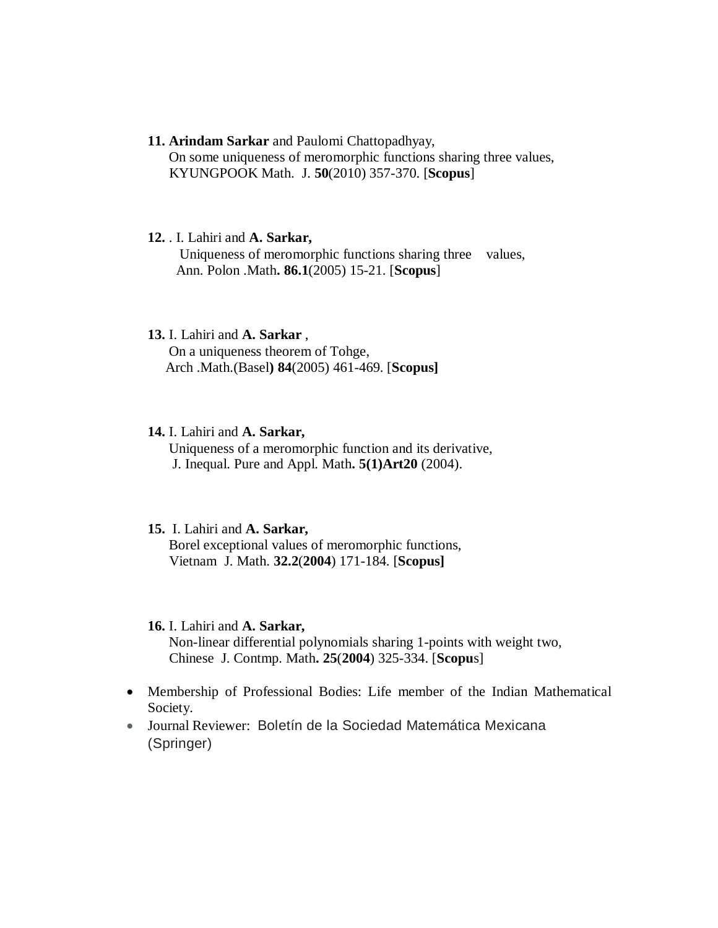- **11. Arindam Sarkar** and Paulomi Chattopadhyay, On some uniqueness of meromorphic functions sharing three values, KYUNGPOOK Math. J. **50**(2010) 357-370. [**Scopus**]
- **12.** . I. Lahiri and **A. Sarkar,**  Uniqueness of meromorphic functions sharing three values, Ann. Polon .Math**. 86.1**(2005) 15-21. [**Scopus**]
- **13.** I. Lahiri and **A. Sarkar** , On a uniqueness theorem of Tohge, Arch .Math.(Basel**) 84**(2005) 461-469. [**Scopus]**

## **14.** I. Lahiri and **A. Sarkar,**

Uniqueness of a meromorphic function and its derivative, J. Inequal. Pure and Appl. Math**. 5(1)Art20** (2004).

#### **15.** I. Lahiri and **A. Sarkar,**

Borel exceptional values of meromorphic functions, Vietnam J. Math. **32.2**(**2004**) 171-184. [**Scopus]**

#### **16.** I. Lahiri and **A. Sarkar,**

Non-linear differential polynomials sharing 1-points with weight two, Chinese J. Contmp. Math**. 25**(**2004**) 325-334. [**Scopu**s]

- Membership of Professional Bodies: Life member of the Indian Mathematical Society.
- Journal Reviewer: Boletín de la Sociedad Matemática Mexicana (Springer)